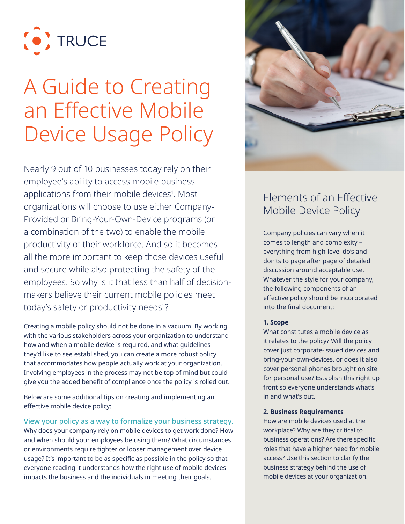

# A Guide to Creating an Effective Mobile Device Usage Policy

Nearly 9 out of 10 businesses today rely on their employee's ability to access mobile business applications from their mobile devices<sup>1</sup>. Most organizations will choose to use either Company-Provided or Bring-Your-Own-Device programs (or a combination of the two) to enable the mobile productivity of their workforce. And so it becomes all the more important to keep those devices useful and secure while also protecting the safety of the employees. So why is it that less than half of decisionmakers believe their current mobile policies meet today's safety or productivity needs<sup>2</sup>?

Creating a mobile policy should not be done in a vacuum. By working with the various stakeholders across your organization to understand how and when a mobile device is required, and what guidelines they'd like to see established, you can create a more robust policy that accommodates how people actually work at your organization. Involving employees in the process may not be top of mind but could give you the added benefit of compliance once the policy is rolled out.

Below are some additional tips on creating and implementing an effective mobile device policy:

View your policy as a way to formalize your business strategy. Why does your company rely on mobile devices to get work done? How and when should your employees be using them? What circumstances or environments require tighter or looser management over device usage? It's important to be as specific as possible in the policy so that everyone reading it understands how the right use of mobile devices impacts the business and the individuals in meeting their goals.



# Elements of an Effective Mobile Device Policy

Company policies can vary when it comes to length and complexity – everything from high-level do's and don'ts to page after page of detailed discussion around acceptable use. Whatever the style for your company, the following components of an effective policy should be incorporated into the final document:

### **1. Scope**

What constitutes a mobile device as it relates to the policy? Will the policy cover just corporate-issued devices and bring-your-own-devices, or does it also cover personal phones brought on site for personal use? Establish this right up front so everyone understands what's in and what's out.

#### **2. Business Requirements**

How are mobile devices used at the workplace? Why are they critical to business operations? Are there specific roles that have a higher need for mobile access? Use this section to clarify the business strategy behind the use of mobile devices at your organization.